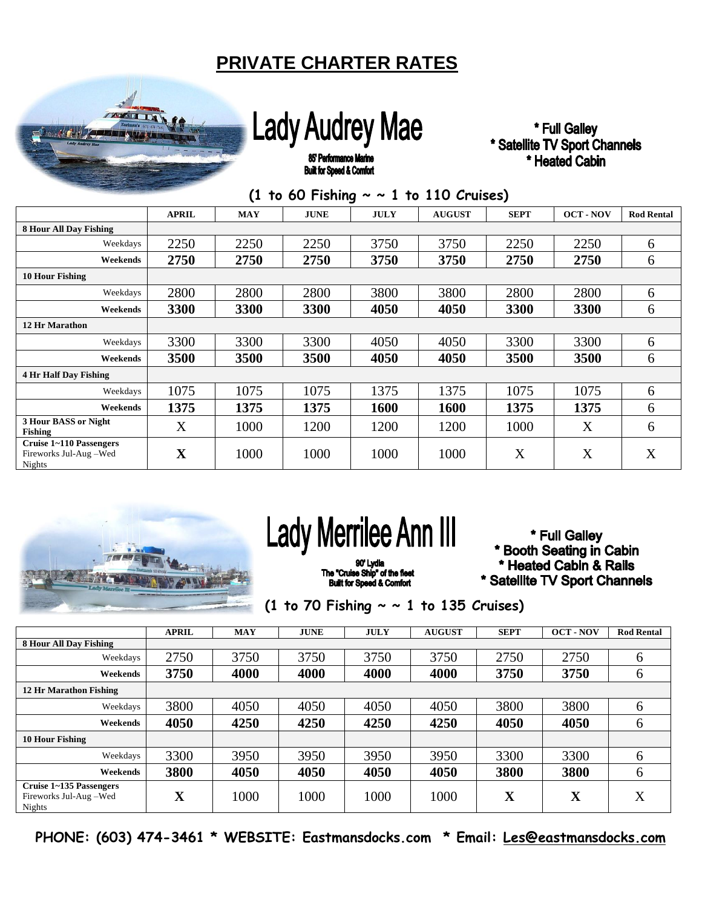#### **PRIVATE CHARTER RATES**



### **Lady Audrey Mae**

\* Full Galley \* Satellite TV Sport Channels \* Heated Cabin

85' Performance Marine **Built for Speed & Comfort** 

|  | (1 to 60 Fishing $\sim \sim 1$ to 110 Cruises) |
|--|------------------------------------------------|
|--|------------------------------------------------|

|                                                                   | <b>APRIL</b> | <b>MAY</b> | <b>JUNE</b> | <b>JULY</b> | <b>AUGUST</b> | <b>SEPT</b> | <b>OCT-NOV</b> | <b>Rod Rental</b> |
|-------------------------------------------------------------------|--------------|------------|-------------|-------------|---------------|-------------|----------------|-------------------|
| <b>8 Hour All Day Fishing</b>                                     |              |            |             |             |               |             |                |                   |
| Weekdays                                                          | 2250         | 2250       | 2250        | 3750        | 3750          | 2250        | 2250           | 6                 |
| Weekends                                                          | 2750         | 2750       | 2750        | 3750        | 3750          | 2750        | 2750           | 6                 |
| <b>10 Hour Fishing</b>                                            |              |            |             |             |               |             |                |                   |
| Weekdays                                                          | 2800         | 2800       | 2800        | 3800        | 3800          | 2800        | 2800           | 6                 |
| Weekends                                                          | 3300         | 3300       | 3300        | 4050        | 4050          | 3300        | 3300           | 6                 |
| <b>12 Hr Marathon</b>                                             |              |            |             |             |               |             |                |                   |
| Weekdays                                                          | 3300         | 3300       | 3300        | 4050        | 4050          | 3300        | 3300           | 6                 |
| Weekends                                                          | 3500         | 3500       | 3500        | 4050        | 4050          | 3500        | 3500           | 6                 |
| <b>4 Hr Half Day Fishing</b>                                      |              |            |             |             |               |             |                |                   |
| Weekdays                                                          | 1075         | 1075       | 1075        | 1375        | 1375          | 1075        | 1075           | 6                 |
| Weekends                                                          | 1375         | 1375       | 1375        | 1600        | 1600          | 1375        | 1375           | 6                 |
| 3 Hour BASS or Night<br><b>Fishing</b>                            | X            | 1000       | 1200        | 1200        | 1200          | 1000        | X              | 6                 |
| Cruise 1~110 Passengers<br>Fireworks Jul-Aug-Wed<br><b>Nights</b> | $\mathbf X$  | 1000       | 1000        | 1000        | 1000          | X           | X              | X                 |



## **Lady Merrilee Ann III**

The "Cruise Ship" of the fleet<br>Built for Speed & Comfort

\* Full Galley \* Booth Seating in Cabin \* Heated Cabin & Rails \* Satellite TV Sport Channels

 **(1 to 70 Fishing ~ ~ 1 to 135 Cruises)**

|                                                            | <b>APRIL</b> | <b>MAY</b> | <b>JUNE</b> | <b>JULY</b> | <b>AUGUST</b> | <b>SEPT</b> | <b>OCT-NOV</b> | <b>Rod Rental</b> |
|------------------------------------------------------------|--------------|------------|-------------|-------------|---------------|-------------|----------------|-------------------|
| 8 Hour All Day Fishing                                     |              |            |             |             |               |             |                |                   |
| Weekdays                                                   | 2750         | 3750       | 3750        | 3750        | 3750          | 2750        | 2750           | 6                 |
| Weekends                                                   | 3750         | 4000       | 4000        | 4000        | 4000          | 3750        | 3750           | 6                 |
| <b>12 Hr Marathon Fishing</b>                              |              |            |             |             |               |             |                |                   |
| Weekdays                                                   | 3800         | 4050       | 4050        | 4050        | 4050          | 3800        | 3800           | 6                 |
| Weekends                                                   | 4050         | 4250       | 4250        | 4250        | 4250          | 4050        | 4050           | 6                 |
| <b>10 Hour Fishing</b>                                     |              |            |             |             |               |             |                |                   |
| Weekdays                                                   | 3300         | 3950       | 3950        | 3950        | 3950          | 3300        | 3300           | 6                 |
| Weekends                                                   | 3800         | 4050       | 4050        | 4050        | 4050          | 3800        | 3800           | 6                 |
| Cruise 1~135 Passengers<br>Fireworks Jul-Aug-Wed<br>Nights | X            | 1000       | 1000        | 1000        | 1000          | $\mathbf X$ | $\mathbf X$    | X                 |

**PHONE: (603) 474-3461 \* WEBSITE: Eastmansdocks.com \* Email: [Les@eastmansdocks.com](mailto:Les@eastmansdocks.com)**